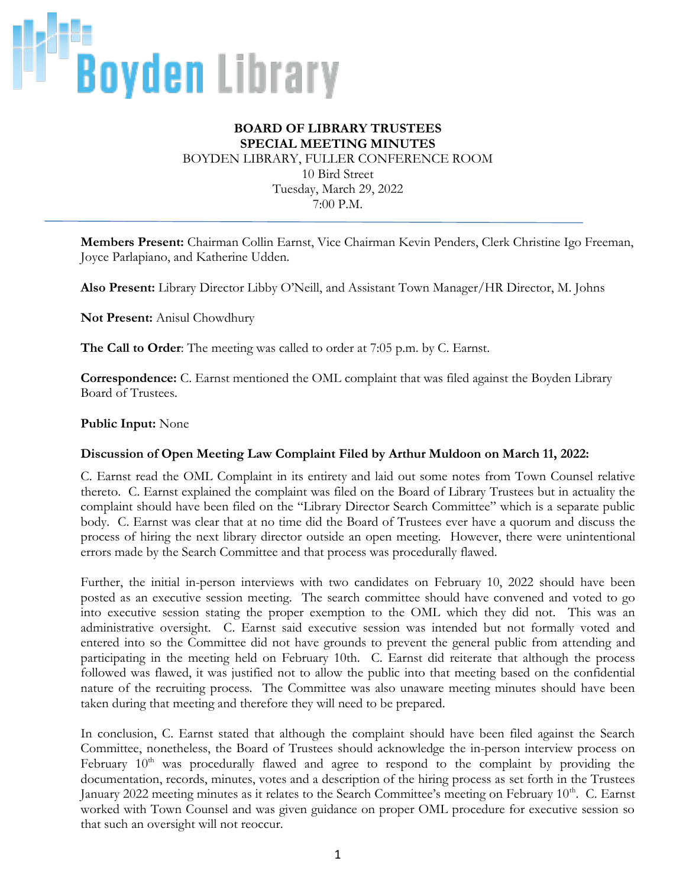

## **BOARD OF LIBRARY TRUSTEES SPECIAL MEETING MINUTES** BOYDEN LIBRARY, FULLER CONFERENCE ROOM 10 Bird Street Tuesday, March 29, 2022 7:00 P.M.

**Members Present:** Chairman Collin Earnst, Vice Chairman Kevin Penders, Clerk Christine Igo Freeman, Joyce Parlapiano, and Katherine Udden.

**Also Present:** Library Director Libby O'Neill, and Assistant Town Manager/HR Director, M. Johns

**Not Present:** Anisul Chowdhury

**The Call to Order**: The meeting was called to order at 7:05 p.m. by C. Earnst.

**Correspondence:** C. Earnst mentioned the OML complaint that was filed against the Boyden Library Board of Trustees.

## **Public Input:** None

## **Discussion of Open Meeting Law Complaint Filed by Arthur Muldoon on March 11, 2022:**

C. Earnst read the OML Complaint in its entirety and laid out some notes from Town Counsel relative thereto. C. Earnst explained the complaint was filed on the Board of Library Trustees but in actuality the complaint should have been filed on the "Library Director Search Committee" which is a separate public body. C. Earnst was clear that at no time did the Board of Trustees ever have a quorum and discuss the process of hiring the next library director outside an open meeting. However, there were unintentional errors made by the Search Committee and that process was procedurally flawed.

Further, the initial in-person interviews with two candidates on February 10, 2022 should have been posted as an executive session meeting. The search committee should have convened and voted to go into executive session stating the proper exemption to the OML which they did not. This was an administrative oversight. C. Earnst said executive session was intended but not formally voted and entered into so the Committee did not have grounds to prevent the general public from attending and participating in the meeting held on February 10th. C. Earnst did reiterate that although the process followed was flawed, it was justified not to allow the public into that meeting based on the confidential nature of the recruiting process. The Committee was also unaware meeting minutes should have been taken during that meeting and therefore they will need to be prepared.

In conclusion, C. Earnst stated that although the complaint should have been filed against the Search Committee, nonetheless, the Board of Trustees should acknowledge the in-person interview process on February 10<sup>th</sup> was procedurally flawed and agree to respond to the complaint by providing the documentation, records, minutes, votes and a description of the hiring process as set forth in the Trustees January 2022 meeting minutes as it relates to the Search Committee's meeting on February 10<sup>th</sup>. C. Earnst worked with Town Counsel and was given guidance on proper OML procedure for executive session so that such an oversight will not reoccur.